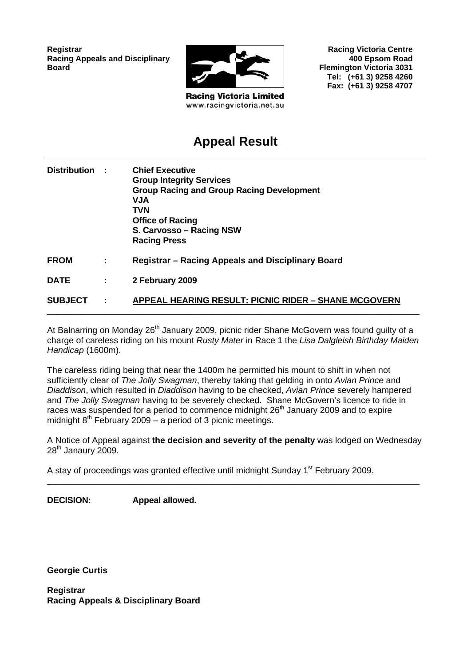**Registrar Racing Appeals and Disciplinary Board**



**Racing Victoria Limited** www.racingvictoria.net.au

**Racing Victoria Centre 400 Epsom Road Flemington Victoria 3031 Tel: (+61 3) 9258 4260 Fax: (+61 3) 9258 4707**

# **Appeal Result**

| Distribution : |           | <b>Chief Executive</b><br><b>Group Integrity Services</b><br><b>Group Racing and Group Racing Development</b><br><b>NUV</b><br><b>TVN</b><br><b>Office of Racing</b><br>S. Carvosso - Racing NSW<br><b>Racing Press</b> |
|----------------|-----------|-------------------------------------------------------------------------------------------------------------------------------------------------------------------------------------------------------------------------|
| <b>FROM</b>    | ÷         | <b>Registrar - Racing Appeals and Disciplinary Board</b>                                                                                                                                                                |
| <b>DATE</b>    | ÷.        | 2 February 2009                                                                                                                                                                                                         |
| <b>SUBJECT</b> | $\sim$ 1. | APPEAL HEARING RESULT: PICNIC RIDER - SHANE MCGOVERN                                                                                                                                                                    |

At Balnarring on Monday 26<sup>th</sup> January 2009, picnic rider Shane McGovern was found guilty of a charge of careless riding on his mount *Rusty Mater* in Race 1 the *Lisa Dalgleish Birthday Maiden Handicap* (1600m).

The careless riding being that near the 1400m he permitted his mount to shift in when not sufficiently clear of *The Jolly Swagman*, thereby taking that gelding in onto *Avian Prince* and *Diaddison*, which resulted in *Diaddison* having to be checked, *Avian Prince* severely hampered and *The Jolly Swagman* having to be severely checked. Shane McGovern's licence to ride in races was suspended for a period to commence midnight 26<sup>th</sup> January 2009 and to expire midnight  $8<sup>th</sup>$  February 2009 – a period of 3 picnic meetings.

A Notice of Appeal against **the decision and severity of the penalty** was lodged on Wednesday  $28<sup>th</sup>$  Janaury 2009.

\_\_\_\_\_\_\_\_\_\_\_\_\_\_\_\_\_\_\_\_\_\_\_\_\_\_\_\_\_\_\_\_\_\_\_\_\_\_\_\_\_\_\_\_\_\_\_\_\_\_\_\_\_\_\_\_\_\_\_\_\_\_\_\_\_\_\_\_\_\_\_\_\_\_\_\_\_

A stay of proceedings was granted effective until midnight Sunday 1<sup>st</sup> February 2009.

**DECISION: Appeal allowed.** 

**Georgie Curtis** 

**Registrar Racing Appeals & Disciplinary Board**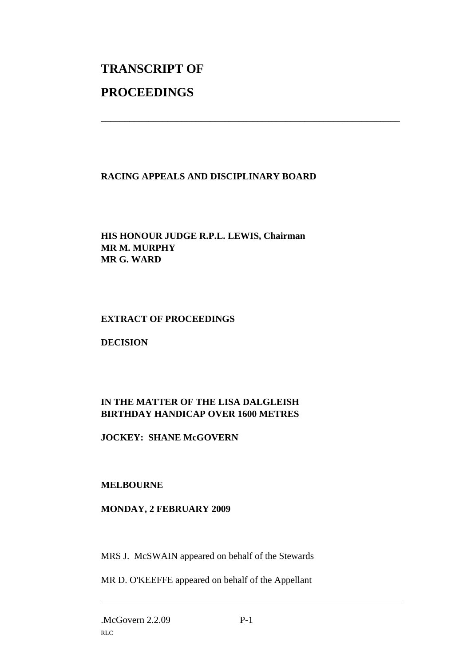# **TRANSCRIPT OF PROCEEDINGS**

# **RACING APPEALS AND DISCIPLINARY BOARD**

\_\_\_\_\_\_\_\_\_\_\_\_\_\_\_\_\_\_\_\_\_\_\_\_\_\_\_\_\_\_\_\_\_\_\_\_\_\_\_\_\_\_\_\_\_\_\_\_\_\_\_\_\_\_\_\_\_\_\_\_\_\_\_

# **HIS HONOUR JUDGE R.P.L. LEWIS, Chairman MR M. MURPHY MR G. WARD**

#### **EXTRACT OF PROCEEDINGS**

**DECISION** 

# **IN THE MATTER OF THE LISA DALGLEISH BIRTHDAY HANDICAP OVER 1600 METRES**

**JOCKEY: SHANE McGOVERN** 

# **MELBOURNE**

#### **MONDAY, 2 FEBRUARY 2009**

MRS J. McSWAIN appeared on behalf of the Stewards

MR D. O'KEEFFE appeared on behalf of the Appellant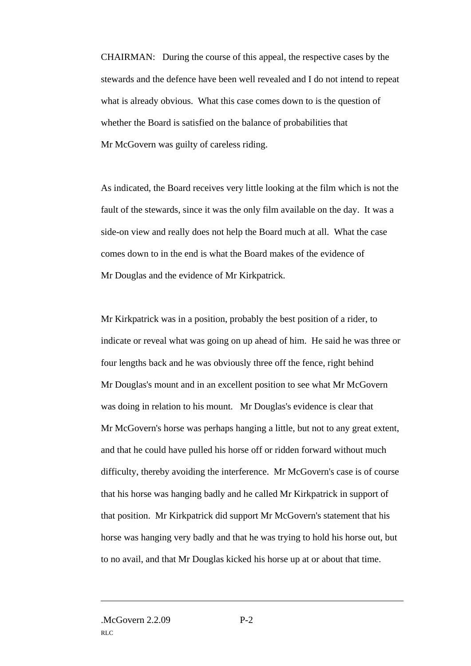CHAIRMAN: During the course of this appeal, the respective cases by the stewards and the defence have been well revealed and I do not intend to repeat what is already obvious. What this case comes down to is the question of whether the Board is satisfied on the balance of probabilities that Mr McGovern was guilty of careless riding.

As indicated, the Board receives very little looking at the film which is not the fault of the stewards, since it was the only film available on the day. It was a side-on view and really does not help the Board much at all. What the case comes down to in the end is what the Board makes of the evidence of Mr Douglas and the evidence of Mr Kirkpatrick.

Mr Kirkpatrick was in a position, probably the best position of a rider, to indicate or reveal what was going on up ahead of him. He said he was three or four lengths back and he was obviously three off the fence, right behind Mr Douglas's mount and in an excellent position to see what Mr McGovern was doing in relation to his mount. Mr Douglas's evidence is clear that Mr McGovern's horse was perhaps hanging a little, but not to any great extent, and that he could have pulled his horse off or ridden forward without much difficulty, thereby avoiding the interference. Mr McGovern's case is of course that his horse was hanging badly and he called Mr Kirkpatrick in support of that position. Mr Kirkpatrick did support Mr McGovern's statement that his horse was hanging very badly and that he was trying to hold his horse out, but to no avail, and that Mr Douglas kicked his horse up at or about that time.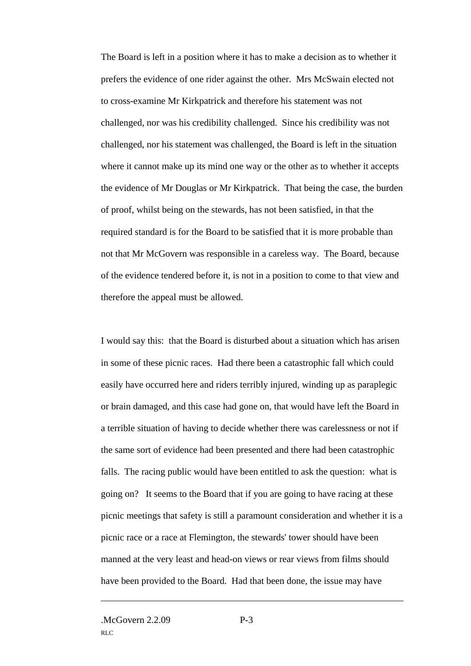The Board is left in a position where it has to make a decision as to whether it prefers the evidence of one rider against the other. Mrs McSwain elected not to cross-examine Mr Kirkpatrick and therefore his statement was not challenged, nor was his credibility challenged. Since his credibility was not challenged, nor his statement was challenged, the Board is left in the situation where it cannot make up its mind one way or the other as to whether it accepts the evidence of Mr Douglas or Mr Kirkpatrick. That being the case, the burden of proof, whilst being on the stewards, has not been satisfied, in that the required standard is for the Board to be satisfied that it is more probable than not that Mr McGovern was responsible in a careless way. The Board, because of the evidence tendered before it, is not in a position to come to that view and therefore the appeal must be allowed.

I would say this: that the Board is disturbed about a situation which has arisen in some of these picnic races. Had there been a catastrophic fall which could easily have occurred here and riders terribly injured, winding up as paraplegic or brain damaged, and this case had gone on, that would have left the Board in a terrible situation of having to decide whether there was carelessness or not if the same sort of evidence had been presented and there had been catastrophic falls. The racing public would have been entitled to ask the question: what is going on? It seems to the Board that if you are going to have racing at these picnic meetings that safety is still a paramount consideration and whether it is a picnic race or a race at Flemington, the stewards' tower should have been manned at the very least and head-on views or rear views from films should have been provided to the Board. Had that been done, the issue may have